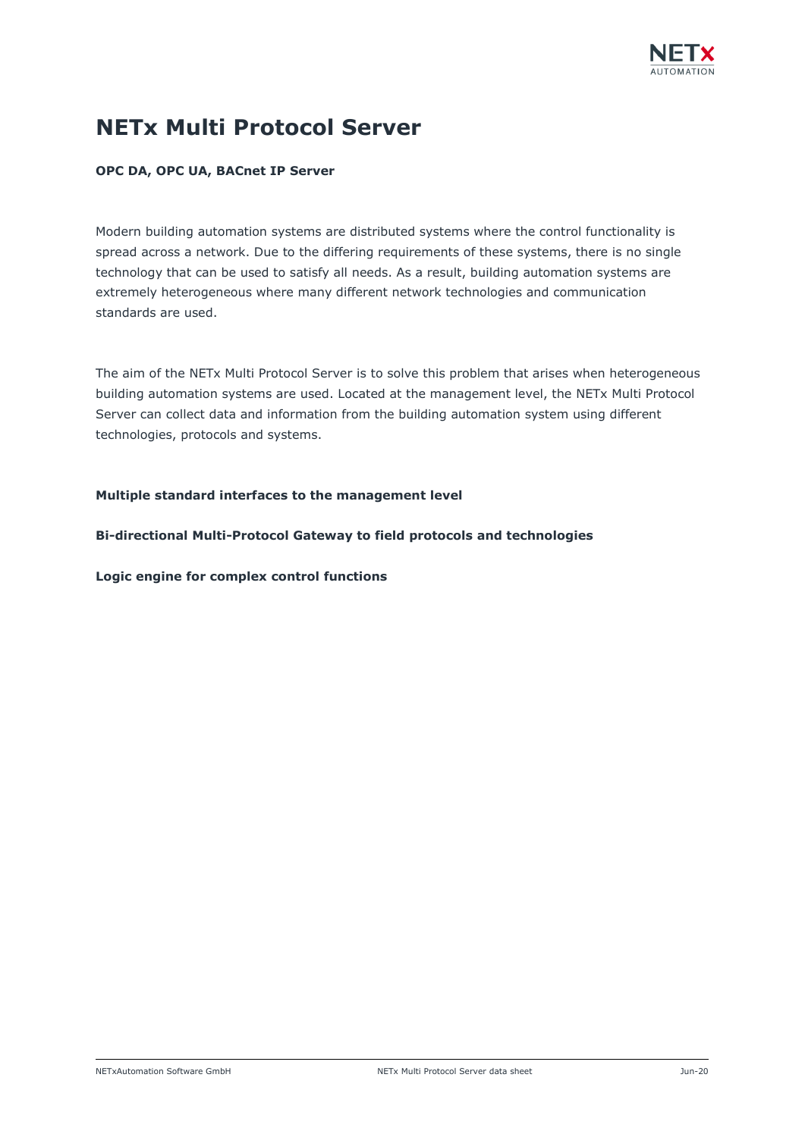

# **NETx Multi Protocol Server**

### **OPC DA, OPC UA, BACnet IP Server**

Modern building automation systems are distributed systems where the control functionality is spread across a network. Due to the differing requirements of these systems, there is no single technology that can be used to satisfy all needs. As a result, building automation systems are extremely heterogeneous where many different network technologies and communication standards are used.

The aim of the NETx Multi Protocol Server is to solve this problem that arises when heterogeneous building automation systems are used. Located at the management level, the NETx Multi Protocol Server can collect data and information from the building automation system using different technologies, protocols and systems.

### **Multiple standard interfaces to the management level**

**Bi-directional Multi-Protocol Gateway to field protocols and technologies**

**Logic engine for complex control functions**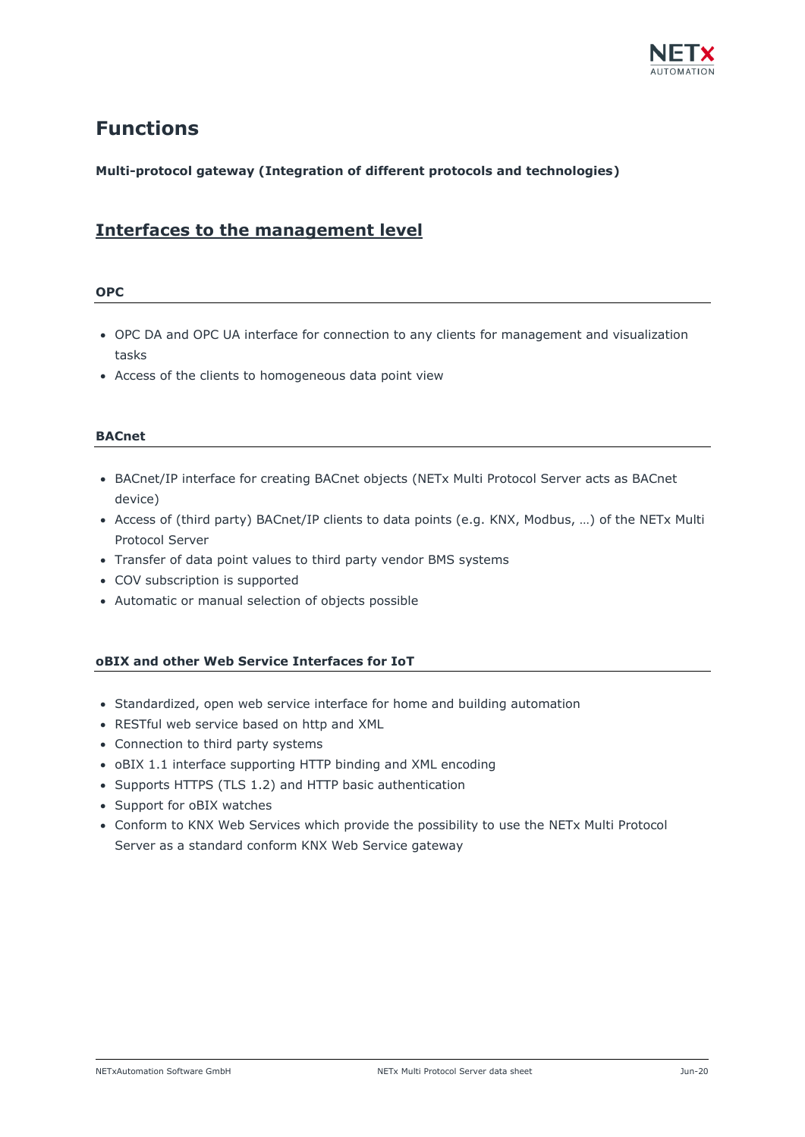

## **Functions**

### **Multi-protocol gateway (Integration of different protocols and technologies)**

### **Interfaces to the management level**

### **OPC**

- OPC DA and OPC UA interface for connection to any clients for management and visualization tasks
- Access of the clients to homogeneous data point view

### **BACnet**

- BACnet/IP interface for creating BACnet objects (NETx Multi Protocol Server acts as BACnet device)
- Access of (third party) BACnet/IP clients to data points (e.g. KNX, Modbus, …) of the NETx Multi Protocol Server
- Transfer of data point values to third party vendor BMS systems
- COV subscription is supported
- Automatic or manual selection of objects possible

### **oBIX and other Web Service Interfaces for IoT**

- Standardized, open web service interface for home and building automation
- RESTful web service based on http and XML
- Connection to third party systems
- oBIX 1.1 interface supporting HTTP binding and XML encoding
- Supports HTTPS (TLS 1.2) and HTTP basic authentication
- Support for oBIX watches
- Conform to KNX Web Services which provide the possibility to use the NETx Multi Protocol Server as a standard conform KNX Web Service gateway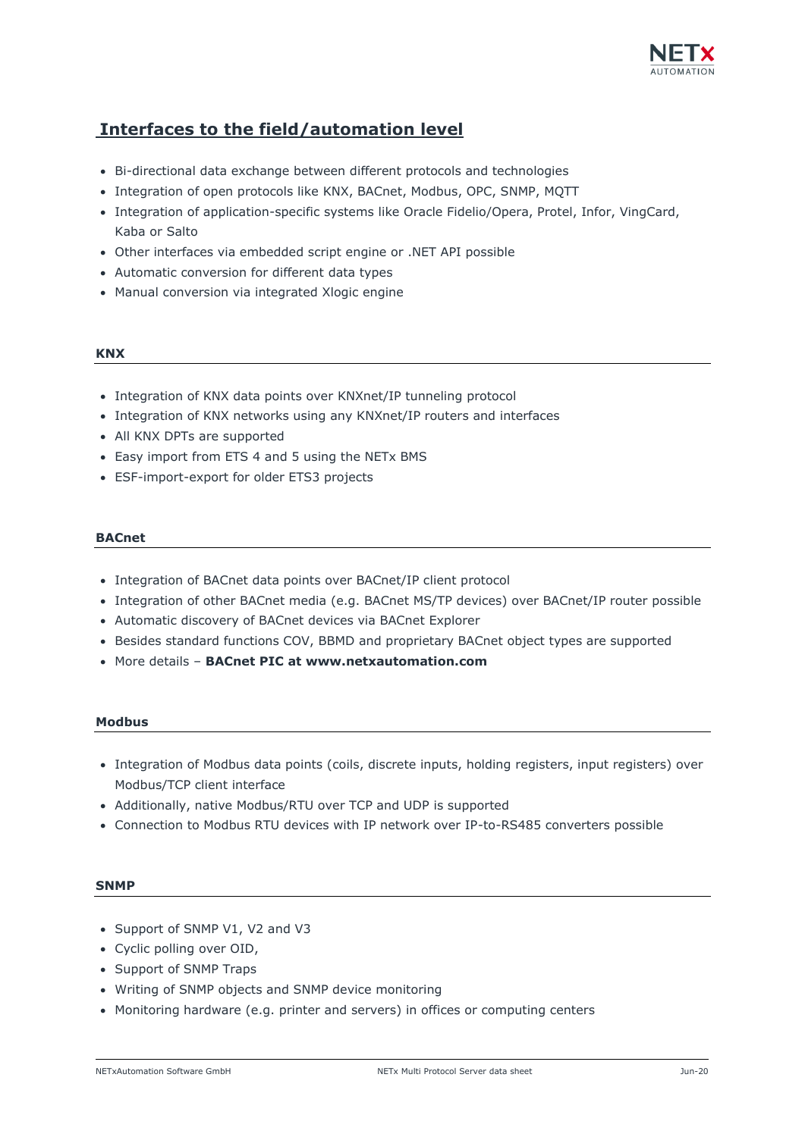

### **Interfaces to the field/automation level**

- Bi-directional data exchange between different protocols and technologies
- Integration of open protocols like KNX, BACnet, Modbus, OPC, SNMP, MQTT
- Integration of application-specific systems like Oracle Fidelio/Opera, Protel, Infor, VingCard, Kaba or Salto
- Other interfaces via embedded script engine or .NET API possible
- Automatic conversion for different data types
- Manual conversion via integrated Xlogic engine

### **KNX**

- Integration of KNX data points over KNXnet/IP tunneling protocol
- Integration of KNX networks using any KNXnet/IP routers and interfaces
- All KNX DPTs are supported
- Easy import from ETS 4 and 5 using the NETx BMS
- ESF-import-export for older ETS3 projects

### **BACnet**

- Integration of BACnet data points over BACnet/IP client protocol
- Integration of other BACnet media (e.g. BACnet MS/TP devices) over BACnet/IP router possible
- Automatic discovery of BACnet devices via BACnet Explorer
- Besides standard functions COV, BBMD and proprietary BACnet object types are supported
- More details **BACnet PIC at www.netxautomation.com**

### **Modbus**

- Integration of Modbus data points (coils, discrete inputs, holding registers, input registers) over Modbus/TCP client interface
- Additionally, native Modbus/RTU over TCP and UDP is supported
- Connection to Modbus RTU devices with IP network over IP-to-RS485 converters possible

### **SNMP**

- Support of SNMP V1, V2 and V3
- Cyclic polling over OID,
- Support of SNMP Traps
- Writing of SNMP objects and SNMP device monitoring
- Monitoring hardware (e.g. printer and servers) in offices or computing centers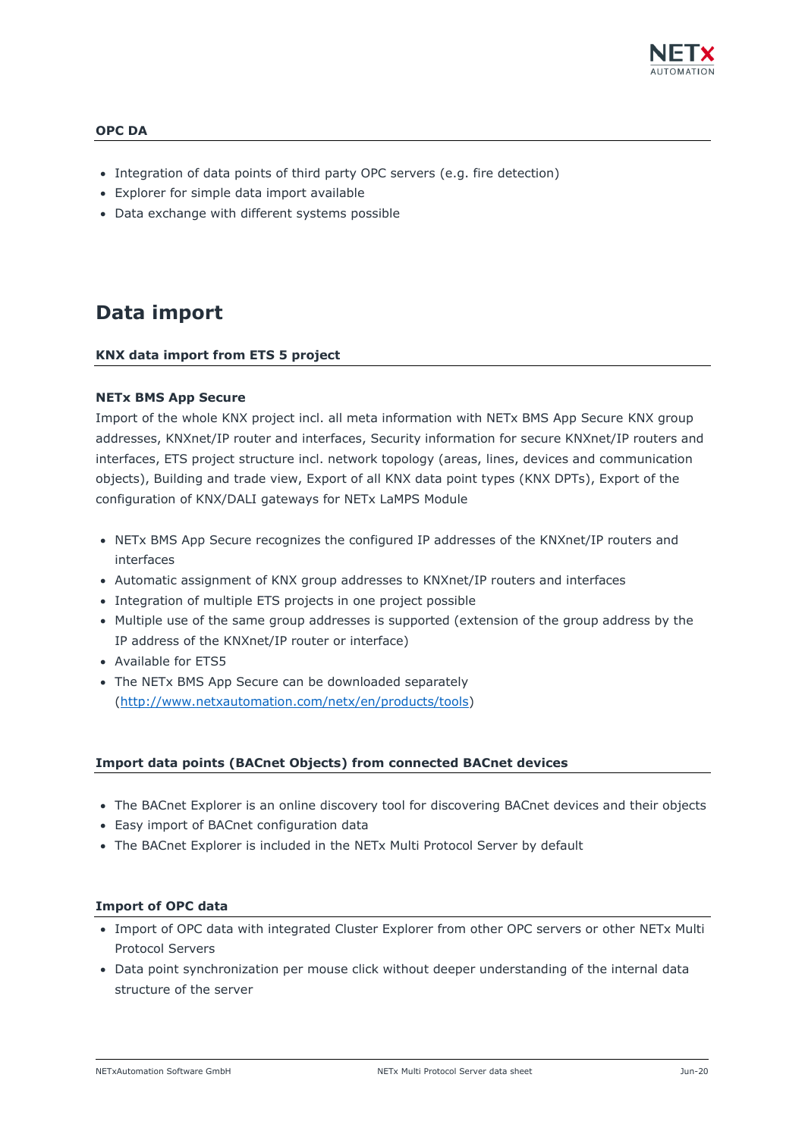

### **OPC DA**

- Integration of data points of third party OPC servers (e.g. fire detection)
- Explorer for simple data import available
- Data exchange with different systems possible

## **Data import**

### **KNX data import from ETS 5 project**

### **NETx BMS App Secure**

Import of the whole KNX project incl. all meta information with NETx BMS App Secure KNX group addresses, KNXnet/IP router and interfaces, Security information for secure KNXnet/IP routers and interfaces, ETS project structure incl. network topology (areas, lines, devices and communication objects), Building and trade view, Export of all KNX data point types (KNX DPTs), Export of the configuration of KNX/DALI gateways for NETx LaMPS Module

- NETx BMS App Secure recognizes the configured IP addresses of the KNXnet/IP routers and interfaces
- Automatic assignment of KNX group addresses to KNXnet/IP routers and interfaces
- Integration of multiple ETS projects in one project possible
- Multiple use of the same group addresses is supported (extension of the group address by the IP address of the KNXnet/IP router or interface)
- Available for ETS5
- The NETx BMS App Secure can be downloaded separately [\(http://www.netxautomation.com/netx/en/products/tools\)](http://www.netxautomation.com/netx/en/products/tools)

### **Import data points (BACnet Objects) from connected BACnet devices**

- The BACnet Explorer is an online discovery tool for discovering BACnet devices and their objects
- Easy import of BACnet configuration data
- The BACnet Explorer is included in the NETx Multi Protocol Server by default

### **Import of OPC data**

- Import of OPC data with integrated Cluster Explorer from other OPC servers or other NETx Multi Protocol Servers
- Data point synchronization per mouse click without deeper understanding of the internal data structure of the server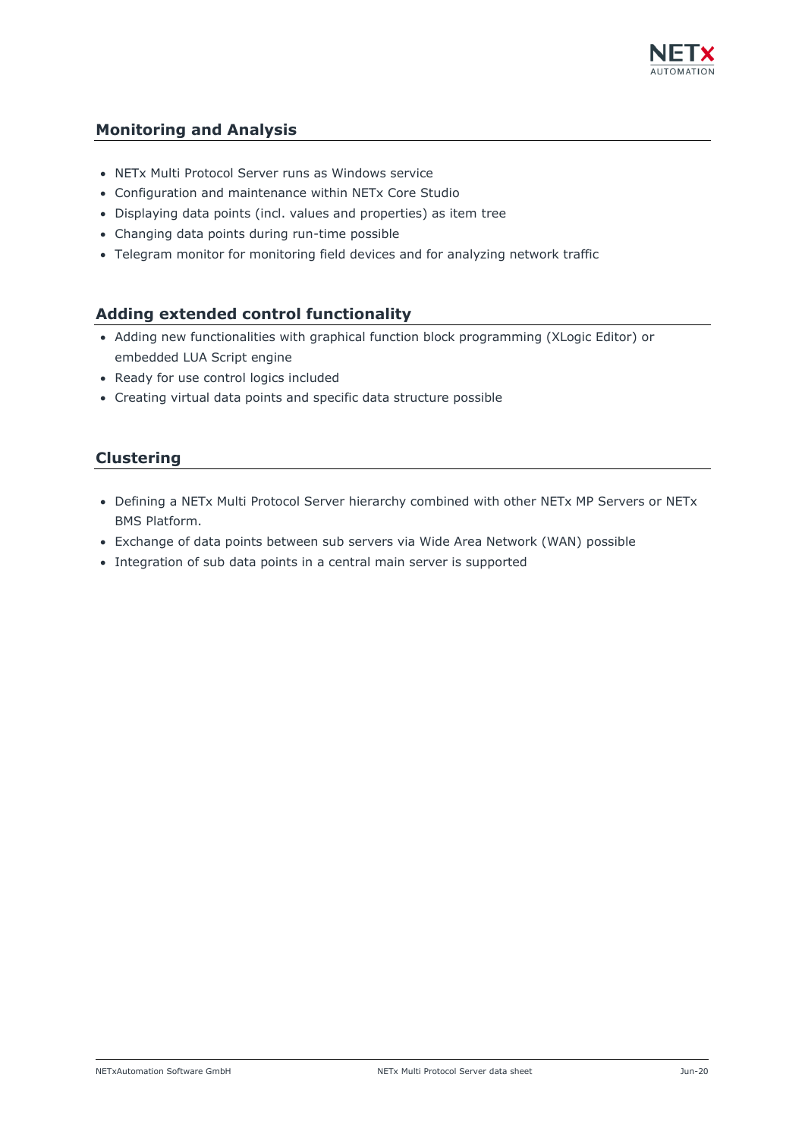

### **Monitoring and Analysis**

- NETx Multi Protocol Server runs as Windows service
- Configuration and maintenance within NETx Core Studio
- Displaying data points (incl. values and properties) as item tree
- Changing data points during run-time possible
- Telegram monitor for monitoring field devices and for analyzing network traffic

### **Adding extended control functionality**

- Adding new functionalities with graphical function block programming (XLogic Editor) or embedded LUA Script engine
- Ready for use control logics included
- Creating virtual data points and specific data structure possible

### **Clustering**

- Defining a NETx Multi Protocol Server hierarchy combined with other NETx MP Servers or NETx BMS Platform.
- Exchange of data points between sub servers via Wide Area Network (WAN) possible
- Integration of sub data points in a central main server is supported